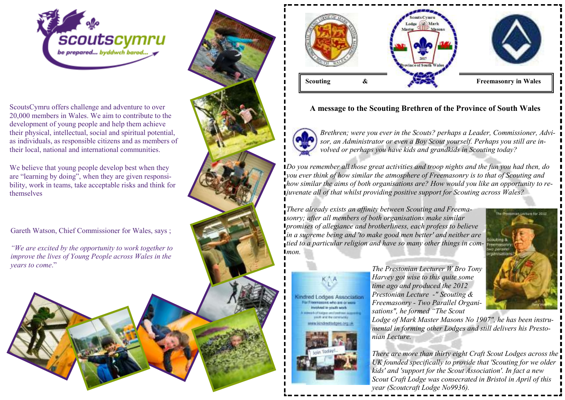

ScoutsCymru offers challenge and adventure to over 20,000 members in Wales. We aim to contribute to the development of young people and help them achieve their physical, intellectual, social and spiritual potential, as individuals, as responsible citizens and as members of their local, national and international communities.

We believe that young people develop best when they are "learning by doing", when they are given responsibility, work in teams, take acceptable risks and think for themselves

Gareth Watson, Chief Commissioner for Wales, says ;

*"We are excited by the opportunity to work together to improve the lives of Young People across Wales in the years to come*."







## **A message to the Scouting Brethren of the Province of South Wales**



lindred Lodges Association **For Financiations who are on** modulation country would

*Brethren; were you ever in the Scouts? perhaps a Leader, Commissioner, Advisor, an Administrator or even a Boy Scout yourself. Perhaps you still are involved or perhaps you have kids and grandkids in Scouting today?* 

*Do you remember all those great activities and troop nights and the fun you had then, do you ever think of how similar the atmosphere of Freemasonry is to that of Scouting and how similar the aims of both organisations are? How would you like an opportunity to rejuvenate all of that whilst providing positive support for Scouting across Wales?* 

*There already exists an affinity between Scouting and Freemasonry; after all members of both organisations make similar promises of allegiance and brotherliness, each profess to believe in a supreme being and 'to make good men better' and neither are tied to a particular religion and have so many other things in com-* $Imon$ 



*The Prestonian Lecturer W Bro Tony Harvey got wise to this quite some time ago and produced the 2012 Prestonian Lecture -" Scouting & Freemasonry - Two Parallel Organisations", he formed "The Scout* 

 *Lodge of Mark Master Masons No 1907", he has been instrumental in forming other Lodges and still delivers his Prestonian Lecture.* 

*There are more than thirty eight Craft Scout Lodges across the UK founded specifically to provide that 'Scouting for we older kids' and 'support for the Scout Association'. In fact a new Scout Craft Lodge was consecrated in Bristol in April of this year (Scoutcraft Lodge No9936).*